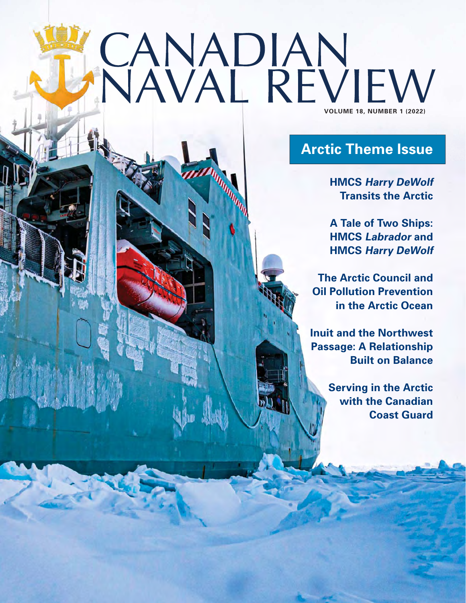## **VOLUME 18, NUMBER 14022)**

## **Arctic Theme Issue**

**HMCS Harry DeWolf Transits the Arctic**

**A Tale of Two Ships: HMCS Labrador and HMCS Harry DeWolf**

**The Arctic Council and Oil Pollution Prevention in the Arctic Ocean**

**Inuit and the Northwest Passage: A Relationship Built on Balance**

> **Serving in the Arctic with the Canadian Coast Guard**